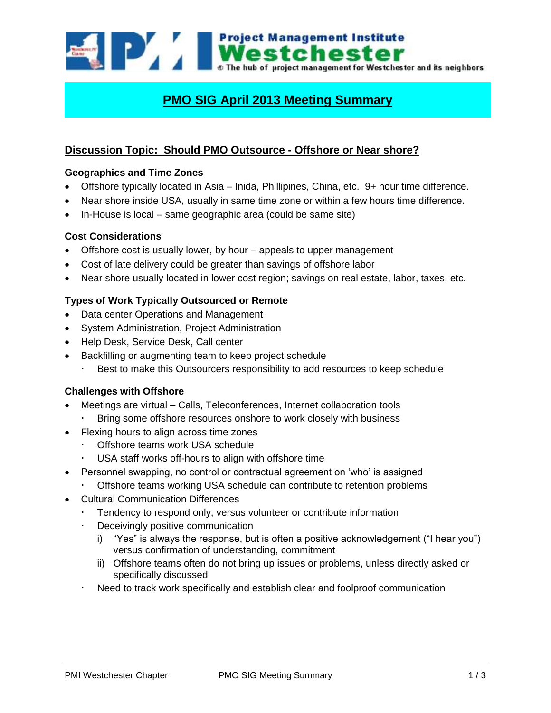

# **PMO SIG April 2013 Meeting Summary**

# **Discussion Topic: Should PMO Outsource - Offshore or Near shore?**

# **Geographics and Time Zones**

- Offshore typically located in Asia Inida, Phillipines, China, etc. 9+ hour time difference.
- Near shore inside USA, usually in same time zone or within a few hours time difference.
- In-House is local same geographic area (could be same site)

# **Cost Considerations**

- Offshore cost is usually lower, by hour appeals to upper management
- Cost of late delivery could be greater than savings of offshore labor
- Near shore usually located in lower cost region; savings on real estate, labor, taxes, etc.

# **Types of Work Typically Outsourced or Remote**

- Data center Operations and Management
- System Administration, Project Administration
- Help Desk, Service Desk, Call center
- Backfilling or augmenting team to keep project schedule
	- Best to make this Outsourcers responsibility to add resources to keep schedule

# **Challenges with Offshore**

- Meetings are virtual Calls, Teleconferences, Internet collaboration tools
	- Bring some offshore resources onshore to work closely with business
- Flexing hours to align across time zones
	- Offshore teams work USA schedule
	- USA staff works off-hours to align with offshore time
- Personnel swapping, no control or contractual agreement on 'who' is assigned
	- Offshore teams working USA schedule can contribute to retention problems
- Cultural Communication Differences
	- Tendency to respond only, versus volunteer or contribute information
	- Deceivingly positive communication
		- i) "Yes" is always the response, but is often a positive acknowledgement ("I hear you") versus confirmation of understanding, commitment
		- ii) Offshore teams often do not bring up issues or problems, unless directly asked or specifically discussed
	- Need to track work specifically and establish clear and foolproof communication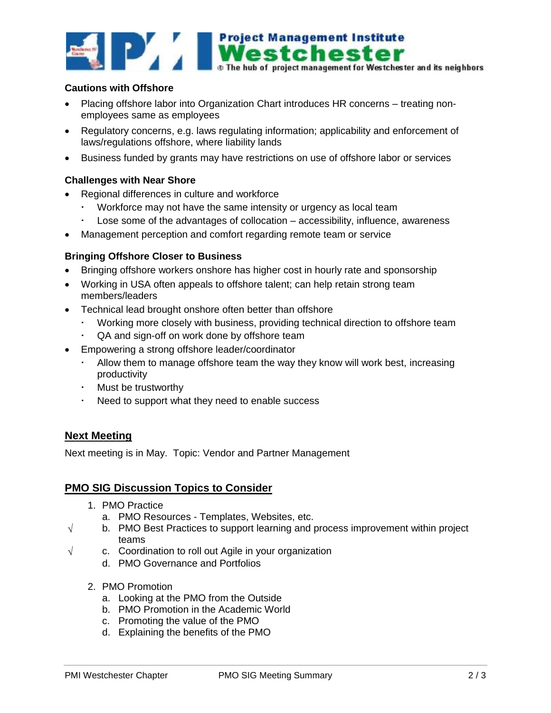

#### **Cautions with Offshore**

- Placing offshore labor into Organization Chart introduces HR concerns treating nonemployees same as employees
- Regulatory concerns, e.g. laws regulating information; applicability and enforcement of laws/regulations offshore, where liability lands
- Business funded by grants may have restrictions on use of offshore labor or services

#### **Challenges with Near Shore**

- Regional differences in culture and workforce
	- Workforce may not have the same intensity or urgency as local team
	- Lose some of the advantages of collocation accessibility, influence, awareness
- Management perception and comfort regarding remote team or service

#### **Bringing Offshore Closer to Business**

- Bringing offshore workers onshore has higher cost in hourly rate and sponsorship
- Working in USA often appeals to offshore talent; can help retain strong team members/leaders
- Technical lead brought onshore often better than offshore
	- Working more closely with business, providing technical direction to offshore team
	- QA and sign-off on work done by offshore team
- Empowering a strong offshore leader/coordinator
	- Allow them to manage offshore team the way they know will work best, increasing productivity
	- Must be trustworthy
	- Need to support what they need to enable success

# **Next Meeting**

Next meeting is in May. Topic: Vendor and Partner Management

# **PMO SIG Discussion Topics to Consider**

- 1. PMO Practice
	- a. PMO Resources Templates, Websites, etc.
- $\sqrt{\phantom{a}}$  b. PMO Best Practices to support learning and process improvement within project teams
- $\sqrt{ }$  c. Coordination to roll out Agile in your organization
	- d. PMO Governance and Portfolios
	- 2. PMO Promotion
		- a. Looking at the PMO from the Outside
		- b. PMO Promotion in the Academic World
		- c. Promoting the value of the PMO
		- d. Explaining the benefits of the PMO